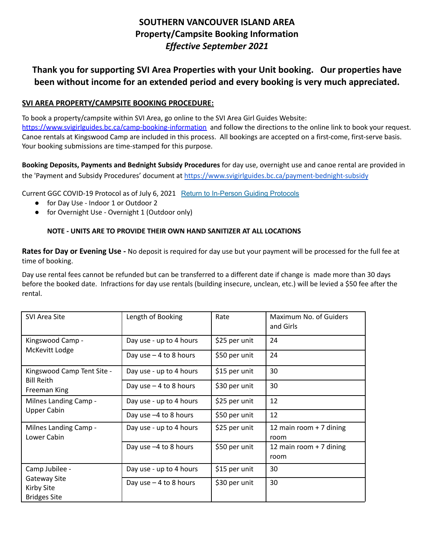# **SOUTHERN VANCOUVER ISLAND AREA Property/Campsite Booking Information** *Effective September 2021*

# **Thank you for supporting SVI Area Properties with your Unit booking. Our properties have been without income for an extended period and every booking is very much appreciated.**

### **SVI AREA PROPERTY/CAMPSITE BOOKING PROCEDURE:**

To book a property/campsite within SVI Area, go online to the SVI Area Girl Guides Website:

<https://www.svigirlguides.bc.ca/camp-booking-information> and follow the directions to the online link to book your request. Canoe rentals at Kingswood Camp are included in this process. All bookings are accepted on a first-come, first-serve basis. Your booking submissions are time-stamped for this purpose.

**Booking Deposits, Payments and Bednight Subsidy Procedures** for day use, overnight use and canoe rental are provided in the 'Payment and Subsidy Procedures' document at <https://www.svigirlguides.bc.ca/payment-bednight-subsidy>

Current GGC COVID-19 Protocol as of July 6, 2021 Return to [In-Person](https://www.girlguides.ca/web/Custom/BSIDocumentSelector/Pages/DocumentViewer.aspx?id=tbAvUQIA15yqFsDhUuM4gu%252fty2koLgxh0dkK5aD7XV0LMRkrczXWTqq%252fRb17xDO6Vdelr7xSLctneFqY9IJIMU6Jf%252bBiiCPgixpl6%252bl4k6pM9OPMrv1KZ1vg9O3kAVOcYnxusLSpEIsPxoqL%252b5ZCsGVfXaBVSRea4Zv5hSm9SmLmg1308RVV%252bU63%252bdcMZJrX) Guiding Protocols

- for Day Use Indoor 1 or Outdoor 2
- for Overnight Use Overnight 1 (Outdoor only)

#### **NOTE - UNITS ARE TO PROVIDE THEIR OWN HAND SANITIZER AT ALL LOCATIONS**

**Rates for Day or Evening Use -** No deposit is required for day use but your payment will be processed for the full fee at time of booking.

Day use rental fees cannot be refunded but can be transferred to a different date if change is made more than 30 days before the booked date. Infractions for day use rentals (building insecure, unclean, etc.) will be levied a \$50 fee after the rental.

| <b>SVI Area Site</b>                                                              | Length of Booking       | Rate          | Maximum No. of Guiders<br>and Girls |
|-----------------------------------------------------------------------------------|-------------------------|---------------|-------------------------------------|
| Kingswood Camp -<br>McKevitt Lodge                                                | Day use - up to 4 hours | \$25 per unit | 24                                  |
|                                                                                   | Day use $-4$ to 8 hours | \$50 per unit | 24                                  |
| Kingswood Camp Tent Site -<br><b>Bill Reith</b><br>Freeman King                   | Day use - up to 4 hours | \$15 per unit | 30                                  |
|                                                                                   | Day use $-4$ to 8 hours | \$30 per unit | 30                                  |
| Milnes Landing Camp -<br><b>Upper Cabin</b>                                       | Day use - up to 4 hours | \$25 per unit | 12                                  |
|                                                                                   | Day use $-4$ to 8 hours | \$50 per unit | 12                                  |
| Milnes Landing Camp -<br>Lower Cabin                                              | Day use - up to 4 hours | \$25 per unit | 12 main room + 7 dining<br>room     |
|                                                                                   | Day use -4 to 8 hours   | \$50 per unit | 12 main room + 7 dining<br>room     |
| Camp Jubilee -<br><b>Gateway Site</b><br><b>Kirby Site</b><br><b>Bridges Site</b> | Day use - up to 4 hours | \$15 per unit | 30                                  |
|                                                                                   | Day use $-4$ to 8 hours | \$30 per unit | 30                                  |